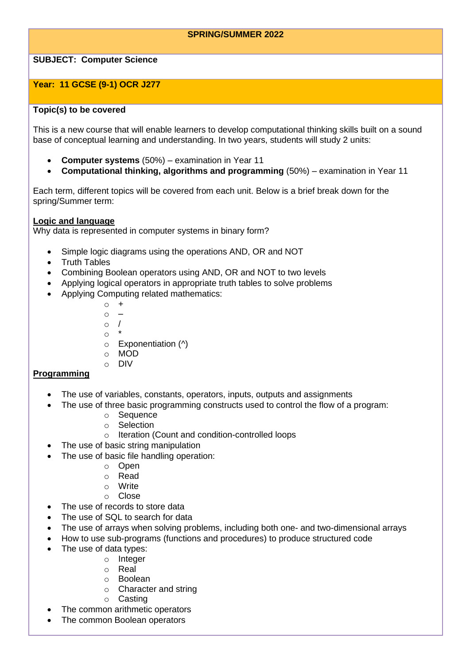# **SPRING/SUMMER 2022**

# **SUBJECT: Computer Science**

# **Year: 11 GCSE (9-1) OCR J277**

## **Topic(s) to be covered**

This is a new course that will enable learners to develop computational thinking skills built on a sound base of conceptual learning and understanding. In two years, students will study 2 units:

- **Computer systems** (50%) examination in Year 11
- **Computational thinking, algorithms and programming** (50%) examination in Year 11

Each term, different topics will be covered from each unit. Below is a brief break down for the spring/Summer term:

## **Logic and language**

Why data is represented in computer systems in binary form?

- Simple logic diagrams using the operations AND, OR and NOT
- Truth Tables
- Combining Boolean operators using AND, OR and NOT to two levels
- Applying logical operators in appropriate truth tables to solve problems
- Applying Computing related mathematics:
	- $\circ$  +  $\circ$  – o /  $\circ$
	- $\circ$  Exponentiation ( $\land$ )
	- o MOD
	- o DIV

## **Programming**

- The use of variables, constants, operators, inputs, outputs and assignments
- The use of three basic programming constructs used to control the flow of a program:
	- o Sequence
	- o Selection
	- o Iteration (Count and condition-controlled loops
- The use of basic string manipulation
- The use of basic file handling operation:
	- o Open
	- o Read
	- o Write
	- o Close
- The use of records to store data
- The use of SQL to search for data
- The use of arrays when solving problems, including both one- and two-dimensional arrays
- How to use sub-programs (functions and procedures) to produce structured code
- The use of data types:
	- o Integer
	- o Real
	- o Boolean
	- o Character and string
	- o Casting
- The common arithmetic operators
- The common Boolean operators